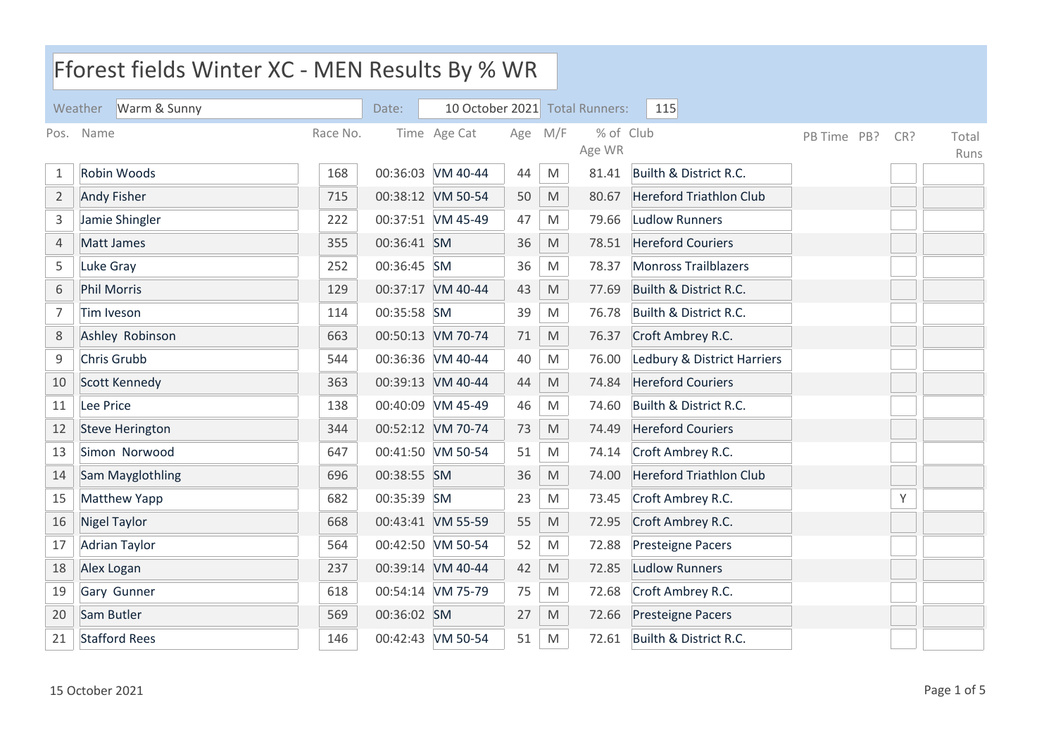| Fforest fields Winter XC - MEN Results By % WR |                         |          |             |                   |     |                                                                                                            |                                |                                |             |     |               |
|------------------------------------------------|-------------------------|----------|-------------|-------------------|-----|------------------------------------------------------------------------------------------------------------|--------------------------------|--------------------------------|-------------|-----|---------------|
|                                                | Warm & Sunny<br>Weather |          | Date:       |                   |     |                                                                                                            | 10 October 2021 Total Runners: | 115                            |             |     |               |
| Pos.                                           | Name                    | Race No. |             | Time Age Cat      | Age | M/F                                                                                                        | % of Club<br>Age WR            |                                | PB Time PB? | CR? | Total<br>Runs |
| 1                                              | Robin Woods             | 168      |             | 00:36:03 VM 40-44 | 44  | M                                                                                                          | 81.41                          | Builth & District R.C.         |             |     |               |
| $\overline{2}$                                 | <b>Andy Fisher</b>      | 715      |             | 00:38:12 VM 50-54 | 50  | M                                                                                                          | 80.67                          | <b>Hereford Triathlon Club</b> |             |     |               |
| 3                                              | Jamie Shingler          | 222      |             | 00:37:51 VM 45-49 | 47  | M                                                                                                          | 79.66                          | <b>Ludlow Runners</b>          |             |     |               |
| 4                                              | Matt James              | 355      | 00:36:41 SM |                   | 36  | $\mathsf{M}% _{T}=\mathsf{M}_{T}\!\left( a,b\right) ,\ \mathsf{M}_{T}=\mathsf{M}_{T}\!\left( a,b\right) ,$ | 78.51                          | <b>Hereford Couriers</b>       |             |     |               |
| 5                                              | Luke Gray               | 252      | 00:36:45 SM |                   | 36  | M                                                                                                          | 78.37                          | <b>Monross Trailblazers</b>    |             |     |               |
| 6                                              | <b>Phil Morris</b>      | 129      |             | 00:37:17 VM 40-44 | 43  | M                                                                                                          | 77.69                          | Builth & District R.C.         |             |     |               |
| 7                                              | <b>Tim Iveson</b>       | 114      | 00:35:58 SM |                   | 39  | M                                                                                                          | 76.78                          | Builth & District R.C.         |             |     |               |
| 8                                              | Ashley Robinson         | 663      |             | 00:50:13 VM 70-74 | 71  | M                                                                                                          | 76.37                          | Croft Ambrey R.C.              |             |     |               |
| 9                                              | Chris Grubb             | 544      |             | 00:36:36 VM 40-44 | 40  | M                                                                                                          | 76.00                          | Ledbury & District Harriers    |             |     |               |
| 10                                             | <b>Scott Kennedy</b>    | 363      |             | 00:39:13 VM 40-44 | 44  | M                                                                                                          | 74.84                          | <b>Hereford Couriers</b>       |             |     |               |
| 11                                             | Lee Price               | 138      |             | 00:40:09 VM 45-49 | 46  | M                                                                                                          | 74.60                          | Builth & District R.C.         |             |     |               |
| 12                                             | <b>Steve Herington</b>  | 344      |             | 00:52:12 VM 70-74 | 73  | $\mathsf{M}% _{T}=\mathsf{M}_{T}\!\left( a,b\right) ,\ \mathsf{M}_{T}=\mathsf{M}_{T}\!\left( a,b\right) ,$ | 74.49                          | <b>Hereford Couriers</b>       |             |     |               |
| 13                                             | Simon Norwood           | 647      |             | 00:41:50 VM 50-54 | 51  | M                                                                                                          | 74.14                          | Croft Ambrey R.C.              |             |     |               |
| 14                                             | Sam Mayglothling        | 696      | 00:38:55 SM |                   | 36  | M                                                                                                          | 74.00                          | <b>Hereford Triathlon Club</b> |             |     |               |
| 15                                             | <b>Matthew Yapp</b>     | 682      | 00:35:39    | SM                | 23  | M                                                                                                          | 73.45                          | Croft Ambrey R.C.              |             | Υ   |               |
| 16                                             | <b>Nigel Taylor</b>     | 668      |             | 00:43:41 VM 55-59 | 55  | $\mathsf{M}% _{T}=\mathsf{M}_{T}\!\left( a,b\right) ,\ \mathsf{M}_{T}=\mathsf{M}_{T}\!\left( a,b\right) ,$ | 72.95                          | Croft Ambrey R.C.              |             |     |               |
| 17                                             | <b>Adrian Taylor</b>    | 564      |             | 00:42:50 VM 50-54 | 52  | M                                                                                                          | 72.88                          | <b>Presteigne Pacers</b>       |             |     |               |
| 18                                             | Alex Logan              | 237      |             | 00:39:14 VM 40-44 | 42  | M                                                                                                          | 72.85                          | <b>Ludlow Runners</b>          |             |     |               |
| 19                                             | Gary Gunner             | 618      |             | 00:54:14 VM 75-79 | 75  | M                                                                                                          | 72.68                          | Croft Ambrey R.C.              |             |     |               |
| 20                                             | Sam Butler              | 569      | 00:36:02 SM |                   | 27  | M                                                                                                          | 72.66                          | <b>Presteigne Pacers</b>       |             |     |               |
| 21                                             | <b>Stafford Rees</b>    | 146      |             | 00:42:43 VM 50-54 | 51  | M                                                                                                          | 72.61                          | Builth & District R.C.         |             |     |               |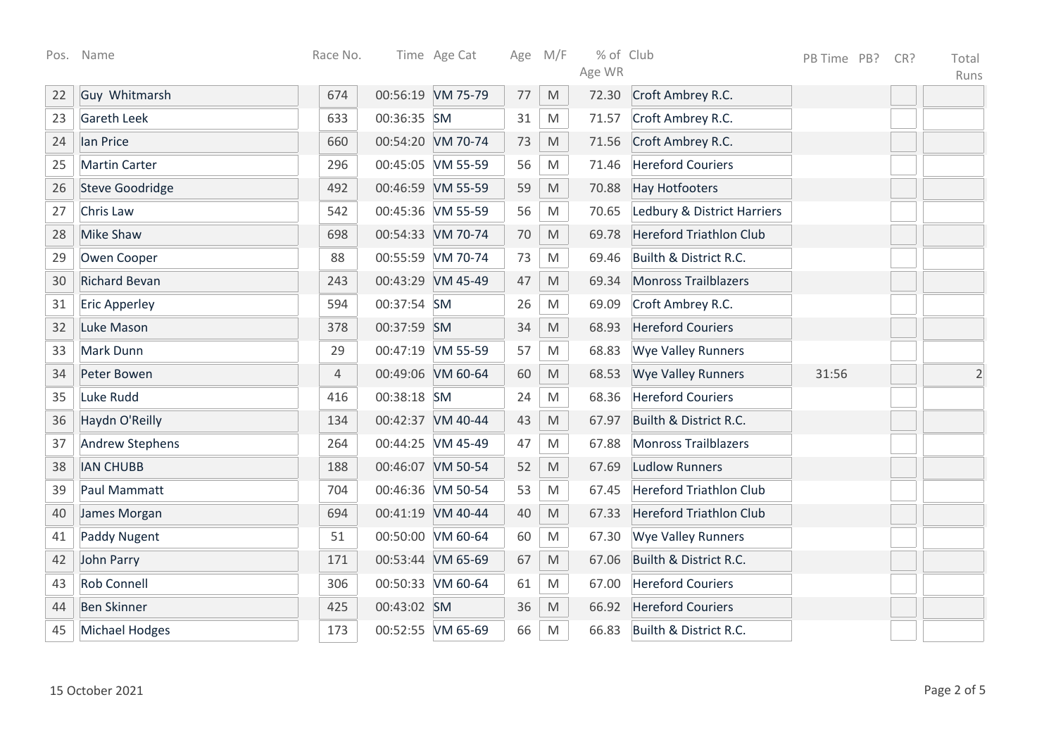|    | Pos. Name              | Race No.       |             | Time Age Cat      | Age M/F |                                                                                                            | % of Club |                                | PB Time PB? | CR? | Total          |
|----|------------------------|----------------|-------------|-------------------|---------|------------------------------------------------------------------------------------------------------------|-----------|--------------------------------|-------------|-----|----------------|
|    |                        |                |             |                   |         |                                                                                                            | Age WR    |                                |             |     | Runs           |
| 22 | Guy Whitmarsh          | 674            |             | 00:56:19 VM 75-79 | 77      | M                                                                                                          | 72.30     | Croft Ambrey R.C.              |             |     |                |
| 23 | <b>Gareth Leek</b>     | 633            | 00:36:35 SM |                   | 31      | M                                                                                                          | 71.57     | Croft Ambrey R.C.              |             |     |                |
| 24 | lan Price              | 660            |             | 00:54:20 VM 70-74 | 73      | M                                                                                                          | 71.56     | Croft Ambrey R.C.              |             |     |                |
| 25 | <b>Martin Carter</b>   | 296            |             | 00:45:05 VM 55-59 | 56      | M                                                                                                          | 71.46     | <b>Hereford Couriers</b>       |             |     |                |
| 26 | <b>Steve Goodridge</b> | 492            |             | 00:46:59 VM 55-59 | 59      | M                                                                                                          | 70.88     | <b>Hay Hotfooters</b>          |             |     |                |
| 27 | Chris Law              | 542            |             | 00:45:36 VM 55-59 | 56      | M                                                                                                          | 70.65     | Ledbury & District Harriers    |             |     |                |
| 28 | <b>Mike Shaw</b>       | 698            |             | 00:54:33 VM 70-74 | 70      | M                                                                                                          | 69.78     | <b>Hereford Triathlon Club</b> |             |     |                |
| 29 | Owen Cooper            | 88             |             | 00:55:59 VM 70-74 | 73      | M                                                                                                          | 69.46     | Builth & District R.C.         |             |     |                |
| 30 | <b>Richard Bevan</b>   | 243            |             | 00:43:29 VM 45-49 | 47      | $\mathsf{M}% _{T}=\mathsf{M}_{T}\!\left( a,b\right) ,\ \mathsf{M}_{T}=\mathsf{M}_{T}\!\left( a,b\right) ,$ | 69.34     | <b>Monross Trailblazers</b>    |             |     |                |
| 31 | <b>Eric Apperley</b>   | 594            | 00:37:54 SM |                   | 26      | M                                                                                                          | 69.09     | Croft Ambrey R.C.              |             |     |                |
| 32 | Luke Mason             | 378            | 00:37:59 SM |                   | 34      | M                                                                                                          | 68.93     | <b>Hereford Couriers</b>       |             |     |                |
| 33 | Mark Dunn              | 29             |             | 00:47:19 VM 55-59 | 57      | M                                                                                                          | 68.83     | <b>Wye Valley Runners</b>      |             |     |                |
| 34 | Peter Bowen            | $\overline{4}$ |             | 00:49:06 VM 60-64 | 60      | M                                                                                                          | 68.53     | <b>Wye Valley Runners</b>      | 31:56       |     | $\overline{2}$ |
| 35 | Luke Rudd              | 416            | 00:38:18 SM |                   | 24      | M                                                                                                          | 68.36     | <b>Hereford Couriers</b>       |             |     |                |
| 36 | Haydn O'Reilly         | 134            |             | 00:42:37 VM 40-44 | 43      | M                                                                                                          | 67.97     | Builth & District R.C.         |             |     |                |
| 37 | <b>Andrew Stephens</b> | 264            |             | 00:44:25 VM 45-49 | 47      | M                                                                                                          | 67.88     | <b>Monross Trailblazers</b>    |             |     |                |
| 38 | <b>IAN CHUBB</b>       | 188            |             | 00:46:07 VM 50-54 | 52      | M                                                                                                          | 67.69     | Ludlow Runners                 |             |     |                |
| 39 | Paul Mammatt           | 704            |             | 00:46:36 VM 50-54 | 53      | M                                                                                                          | 67.45     | <b>Hereford Triathlon Club</b> |             |     |                |
| 40 | James Morgan           | 694            |             | 00:41:19 VM 40-44 | 40      | $\mathsf{M}% _{T}=\mathsf{M}_{T}\!\left( a,b\right) ,\ \mathsf{M}_{T}=\mathsf{M}_{T}\!\left( a,b\right) ,$ | 67.33     | <b>Hereford Triathlon Club</b> |             |     |                |
| 41 | <b>Paddy Nugent</b>    | 51             |             | 00:50:00 VM 60-64 | 60      | M                                                                                                          | 67.30     | <b>Wye Valley Runners</b>      |             |     |                |
| 42 | John Parry             | 171            |             | 00:53:44 VM 65-69 | 67      | M                                                                                                          | 67.06     | Builth & District R.C.         |             |     |                |
| 43 | <b>Rob Connell</b>     | 306            |             | 00:50:33 VM 60-64 | 61      | M                                                                                                          | 67.00     | <b>Hereford Couriers</b>       |             |     |                |
| 44 | <b>Ben Skinner</b>     | 425            | 00:43:02 SM |                   | 36      | $\mathsf{M}% _{T}=\mathsf{M}_{T}\!\left( a,b\right) ,\ \mathsf{M}_{T}=\mathsf{M}_{T}\!\left( a,b\right) ,$ | 66.92     | <b>Hereford Couriers</b>       |             |     |                |
| 45 | <b>Michael Hodges</b>  | 173            |             | 00:52:55 VM 65-69 | 66      | ${\sf M}$                                                                                                  | 66.83     | Builth & District R.C.         |             |     |                |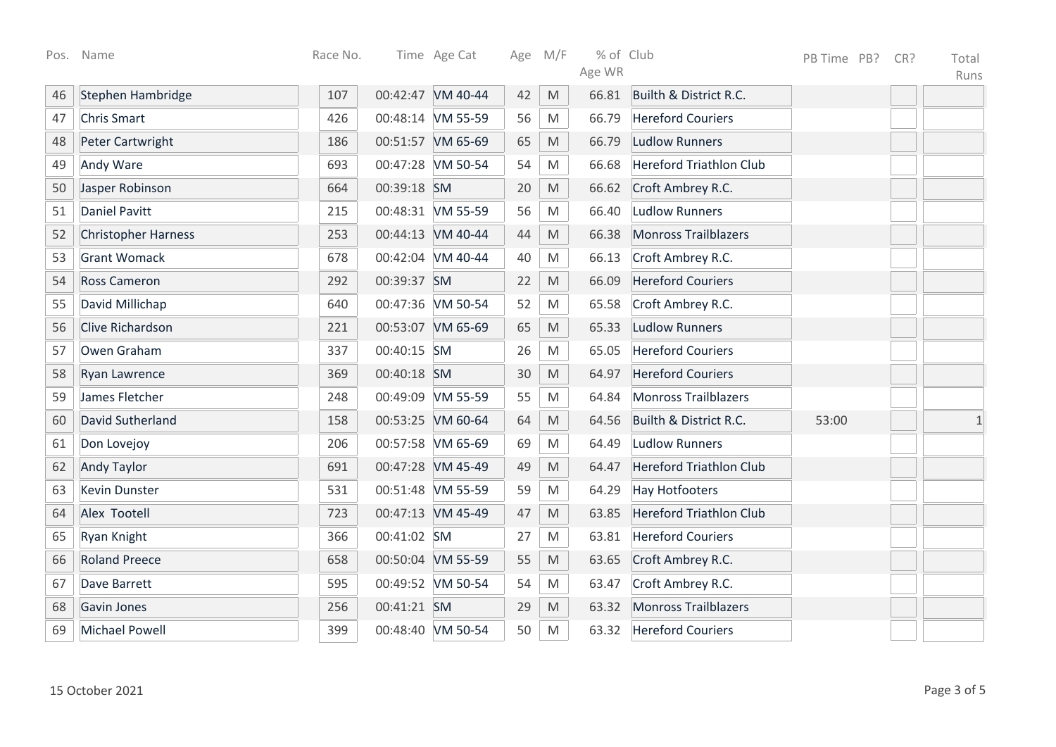|    | Pos. Name                  | Race No. |             | Time Age Cat      |    | Age M/F                                                                                                    | % of Club |                                | PB Time PB? | CR? | Total        |
|----|----------------------------|----------|-------------|-------------------|----|------------------------------------------------------------------------------------------------------------|-----------|--------------------------------|-------------|-----|--------------|
|    |                            |          |             |                   |    |                                                                                                            | Age WR    |                                |             |     | Runs         |
| 46 | Stephen Hambridge          | 107      |             | 00:42:47 VM 40-44 | 42 | M                                                                                                          | 66.81     | Builth & District R.C.         |             |     |              |
| 47 | <b>Chris Smart</b>         | 426      |             | 00:48:14 VM 55-59 | 56 | M                                                                                                          | 66.79     | <b>Hereford Couriers</b>       |             |     |              |
| 48 | Peter Cartwright           | 186      |             | 00:51:57 VM 65-69 | 65 | M                                                                                                          | 66.79     | <b>Ludlow Runners</b>          |             |     |              |
| 49 | Andy Ware                  | 693      |             | 00:47:28 VM 50-54 | 54 | M                                                                                                          | 66.68     | <b>Hereford Triathlon Club</b> |             |     |              |
| 50 | Jasper Robinson            | 664      | 00:39:18 SM |                   | 20 | $\mathsf{M}% _{T}=\mathsf{M}_{T}\!\left( a,b\right) ,\ \mathsf{M}_{T}=\mathsf{M}_{T}\!\left( a,b\right) ,$ | 66.62     | Croft Ambrey R.C.              |             |     |              |
| 51 | <b>Daniel Pavitt</b>       | 215      |             | 00:48:31 VM 55-59 | 56 | M                                                                                                          | 66.40     | <b>Ludlow Runners</b>          |             |     |              |
| 52 | <b>Christopher Harness</b> | 253      |             | 00:44:13 VM 40-44 | 44 | $\mathsf{M}% _{T}=\mathsf{M}_{T}\!\left( a,b\right) ,\ \mathsf{M}_{T}=\mathsf{M}_{T}\!\left( a,b\right) ,$ | 66.38     | <b>Monross Trailblazers</b>    |             |     |              |
| 53 | <b>Grant Womack</b>        | 678      |             | 00:42:04 VM 40-44 | 40 | M                                                                                                          | 66.13     | Croft Ambrey R.C.              |             |     |              |
| 54 | <b>Ross Cameron</b>        | 292      | 00:39:37 SM |                   | 22 | $\mathsf{M}% _{T}=\mathsf{M}_{T}\!\left( a,b\right) ,\ \mathsf{M}_{T}=\mathsf{M}_{T}\!\left( a,b\right) ,$ | 66.09     | <b>Hereford Couriers</b>       |             |     |              |
| 55 | David Millichap            | 640      |             | 00:47:36 VM 50-54 | 52 | $\mathsf{M}% _{T}=\mathsf{M}_{T}\!\left( a,b\right) ,\ \mathsf{M}_{T}=\mathsf{M}_{T}\!\left( a,b\right) ,$ | 65.58     | Croft Ambrey R.C.              |             |     |              |
| 56 | Clive Richardson           | 221      |             | 00:53:07 VM 65-69 | 65 | $\mathsf{M}% _{T}=\mathsf{M}_{T}\!\left( a,b\right) ,\ \mathsf{M}_{T}=\mathsf{M}_{T}\!\left( a,b\right) ,$ | 65.33     | <b>Ludlow Runners</b>          |             |     |              |
| 57 | Owen Graham                | 337      | 00:40:15 SM |                   | 26 | M                                                                                                          | 65.05     | <b>Hereford Couriers</b>       |             |     |              |
| 58 | Ryan Lawrence              | 369      | 00:40:18 SM |                   | 30 | M                                                                                                          | 64.97     | <b>Hereford Couriers</b>       |             |     |              |
| 59 | James Fletcher             | 248      |             | 00:49:09 VM 55-59 | 55 | M                                                                                                          | 64.84     | <b>Monross Trailblazers</b>    |             |     |              |
| 60 | David Sutherland           | 158      |             | 00:53:25 VM 60-64 | 64 | M                                                                                                          | 64.56     | Builth & District R.C.         | 53:00       |     | $\mathbf{1}$ |
| 61 | Don Lovejoy                | 206      |             | 00:57:58 VM 65-69 | 69 | M                                                                                                          | 64.49     | <b>Ludlow Runners</b>          |             |     |              |
| 62 | <b>Andy Taylor</b>         | 691      |             | 00:47:28 VM 45-49 | 49 | $\mathsf{M}% _{T}=\mathsf{M}_{T}\!\left( a,b\right) ,\ \mathsf{M}_{T}=\mathsf{M}_{T}\!\left( a,b\right) ,$ | 64.47     | <b>Hereford Triathlon Club</b> |             |     |              |
| 63 | <b>Kevin Dunster</b>       | 531      |             | 00:51:48 VM 55-59 | 59 | $\mathsf{M}% _{T}=\mathsf{M}_{T}\!\left( a,b\right) ,\ \mathsf{M}_{T}=\mathsf{M}_{T}\!\left( a,b\right) ,$ | 64.29     | <b>Hay Hotfooters</b>          |             |     |              |
| 64 | Alex Tootell               | 723      |             | 00:47:13 VM 45-49 | 47 | M                                                                                                          | 63.85     | <b>Hereford Triathlon Club</b> |             |     |              |
| 65 | Ryan Knight                | 366      | 00:41:02 SM |                   | 27 | M                                                                                                          | 63.81     | <b>Hereford Couriers</b>       |             |     |              |
| 66 | <b>Roland Preece</b>       | 658      |             | 00:50:04 VM 55-59 | 55 | $\mathsf{M}% _{T}=\mathsf{M}_{T}\!\left( a,b\right) ,\ \mathsf{M}_{T}=\mathsf{M}_{T}\!\left( a,b\right) ,$ | 63.65     | Croft Ambrey R.C.              |             |     |              |
| 67 | Dave Barrett               | 595      |             | 00:49:52 VM 50-54 | 54 | ${\sf M}$                                                                                                  | 63.47     | Croft Ambrey R.C.              |             |     |              |
| 68 | Gavin Jones                | 256      | 00:41:21 SM |                   | 29 | $\mathsf{M}% _{T}=\mathsf{M}_{T}\!\left( a,b\right) ,\ \mathsf{M}_{T}=\mathsf{M}_{T}\!\left( a,b\right) ,$ | 63.32     | <b>Monross Trailblazers</b>    |             |     |              |
| 69 | <b>Michael Powell</b>      | 399      |             | 00:48:40 VM 50-54 | 50 | M                                                                                                          | 63.32     | <b>Hereford Couriers</b>       |             |     |              |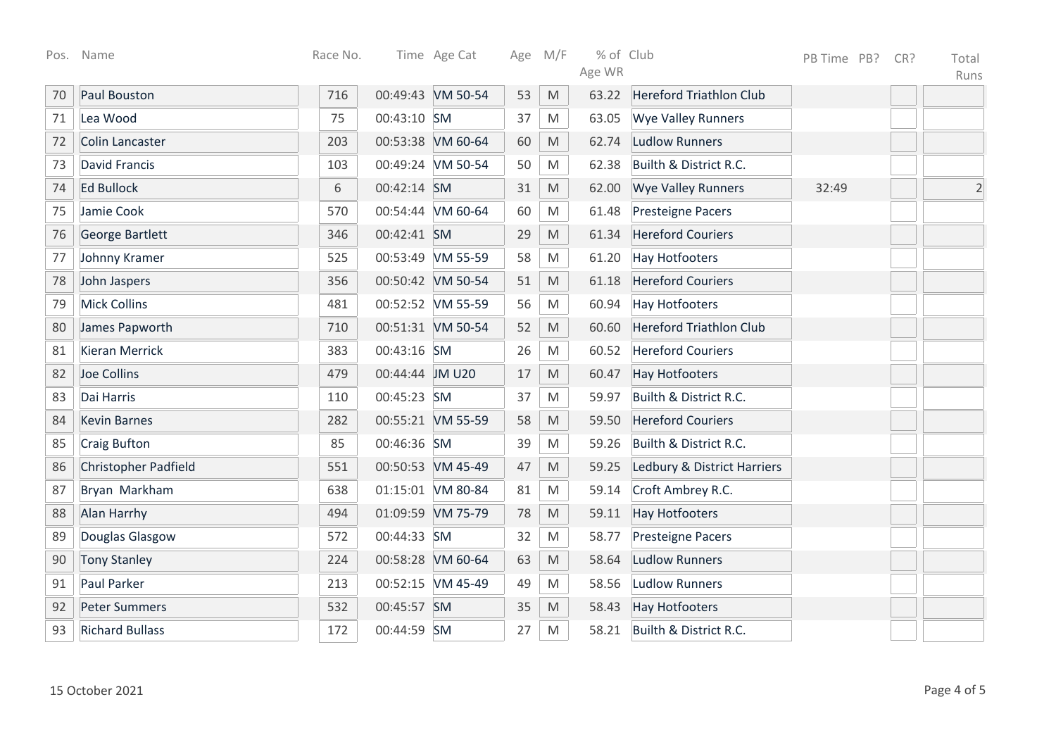| Pos. | Name                   | Race No. |                 | Time Age Cat      |    | Age M/F                                                                                                    | % of Club |                                | PB Time PB? | CR? | Total          |
|------|------------------------|----------|-----------------|-------------------|----|------------------------------------------------------------------------------------------------------------|-----------|--------------------------------|-------------|-----|----------------|
|      |                        |          |                 |                   |    |                                                                                                            | Age WR    |                                |             |     | Runs           |
| 70   | <b>Paul Bouston</b>    | 716      |                 | 00:49:43 VM 50-54 | 53 | M                                                                                                          | 63.22     | <b>Hereford Triathlon Club</b> |             |     |                |
| 71   | Lea Wood               | 75       | 00:43:10 SM     |                   | 37 | M                                                                                                          | 63.05     | <b>Wye Valley Runners</b>      |             |     |                |
| 72   | <b>Colin Lancaster</b> | 203      |                 | 00:53:38 VM 60-64 | 60 | M                                                                                                          | 62.74     | <b>Ludlow Runners</b>          |             |     |                |
| 73   | <b>David Francis</b>   | 103      |                 | 00:49:24 VM 50-54 | 50 | M                                                                                                          | 62.38     | Builth & District R.C.         |             |     |                |
| 74   | <b>Ed Bullock</b>      | 6        | 00:42:14 SM     |                   | 31 | $\mathsf{M}% _{T}=\mathsf{M}_{T}\!\left( a,b\right) ,\ \mathsf{M}_{T}=\mathsf{M}_{T}\!\left( a,b\right) ,$ | 62.00     | <b>Wye Valley Runners</b>      | 32:49       |     | $\overline{2}$ |
| 75   | Jamie Cook             | 570      |                 | 00:54:44 VM 60-64 | 60 | M                                                                                                          | 61.48     | <b>Presteigne Pacers</b>       |             |     |                |
| 76   | <b>George Bartlett</b> | 346      | 00:42:41 SM     |                   | 29 | $\mathsf{M}% _{T}=\mathsf{M}_{T}\!\left( a,b\right) ,\ \mathsf{M}_{T}=\mathsf{M}_{T}\!\left( a,b\right) ,$ | 61.34     | <b>Hereford Couriers</b>       |             |     |                |
| 77   | Johnny Kramer          | 525      |                 | 00:53:49 VM 55-59 | 58 | M                                                                                                          | 61.20     | <b>Hay Hotfooters</b>          |             |     |                |
| 78   | John Jaspers           | 356      |                 | 00:50:42 VM 50-54 | 51 | $\mathsf{M}% _{T}=\mathsf{M}_{T}\!\left( a,b\right) ,\ \mathsf{M}_{T}=\mathsf{M}_{T}\!\left( a,b\right) ,$ | 61.18     | <b>Hereford Couriers</b>       |             |     |                |
| 79   | <b>Mick Collins</b>    | 481      |                 | 00:52:52 VM 55-59 | 56 | ${\sf M}$                                                                                                  | 60.94     | <b>Hay Hotfooters</b>          |             |     |                |
| 80   | James Papworth         | 710      |                 | 00:51:31 VM 50-54 | 52 | $\mathsf{M}% _{T}=\mathsf{M}_{T}\!\left( a,b\right) ,\ \mathsf{M}_{T}=\mathsf{M}_{T}\!\left( a,b\right) ,$ | 60.60     | <b>Hereford Triathlon Club</b> |             |     |                |
| 81   | <b>Kieran Merrick</b>  | 383      | 00:43:16 SM     |                   | 26 | M                                                                                                          | 60.52     | <b>Hereford Couriers</b>       |             |     |                |
| 82   | Joe Collins            | 479      | 00:44:44 JM U20 |                   | 17 | $\mathsf{M}% _{T}=\mathsf{M}_{T}\!\left( a,b\right) ,\ \mathsf{M}_{T}=\mathsf{M}_{T}\!\left( a,b\right) ,$ | 60.47     | <b>Hay Hotfooters</b>          |             |     |                |
| 83   | Dai Harris             | 110      | 00:45:23 SM     |                   | 37 | M                                                                                                          | 59.97     | Builth & District R.C.         |             |     |                |
| 84   | <b>Kevin Barnes</b>    | 282      |                 | 00:55:21 VM 55-59 | 58 | M                                                                                                          | 59.50     | <b>Hereford Couriers</b>       |             |     |                |
| 85   | <b>Craig Bufton</b>    | 85       | 00:46:36 SM     |                   | 39 | M                                                                                                          | 59.26     | Builth & District R.C.         |             |     |                |
| 86   | Christopher Padfield   | 551      |                 | 00:50:53 VM 45-49 | 47 | $\mathsf{M}% _{T}=\mathsf{M}_{T}\!\left( a,b\right) ,\ \mathsf{M}_{T}=\mathsf{M}_{T}\!\left( a,b\right) ,$ | 59.25     | Ledbury & District Harriers    |             |     |                |
| 87   | Bryan Markham          | 638      |                 | 01:15:01 VM 80-84 | 81 | M                                                                                                          | 59.14     | Croft Ambrey R.C.              |             |     |                |
| 88   | Alan Harrhy            | 494      |                 | 01:09:59 VM 75-79 | 78 | M                                                                                                          | 59.11     | <b>Hay Hotfooters</b>          |             |     |                |
| 89   | Douglas Glasgow        | 572      | 00:44:33 SM     |                   | 32 | M                                                                                                          | 58.77     | <b>Presteigne Pacers</b>       |             |     |                |
| 90   | <b>Tony Stanley</b>    | 224      |                 | 00:58:28 VM 60-64 | 63 | $\mathsf{M}% _{T}=\mathsf{M}_{T}\!\left( a,b\right) ,\ \mathsf{M}_{T}=\mathsf{M}_{T}\!\left( a,b\right) ,$ | 58.64     | <b>Ludlow Runners</b>          |             |     |                |
| 91   | <b>Paul Parker</b>     | 213      |                 | 00:52:15 VM 45-49 | 49 | M                                                                                                          | 58.56     | <b>Ludlow Runners</b>          |             |     |                |
| 92   | <b>Peter Summers</b>   | 532      | 00:45:57 SM     |                   | 35 | $\mathsf{M}% _{T}=\mathsf{M}_{T}\!\left( a,b\right) ,\ \mathsf{M}_{T}=\mathsf{M}_{T}\!\left( a,b\right) ,$ | 58.43     | <b>Hay Hotfooters</b>          |             |     |                |
| 93   | <b>Richard Bullass</b> | 172      | 00:44:59 SM     |                   | 27 | ${\sf M}$                                                                                                  | 58.21     | Builth & District R.C.         |             |     |                |